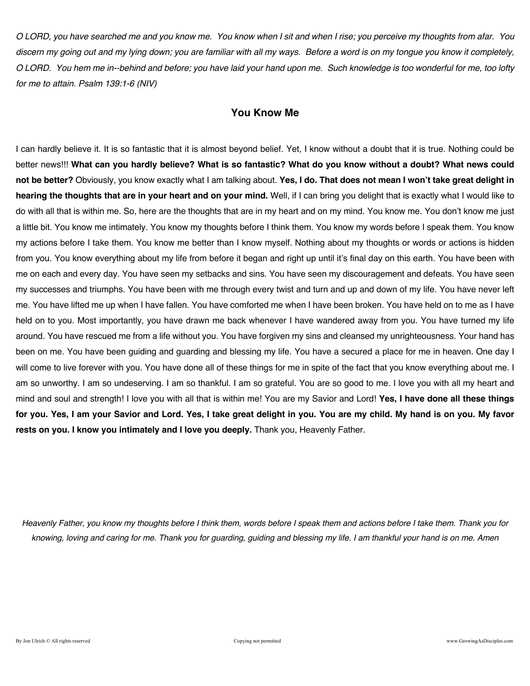*O LORD, you have searched me and you know me. You know when I sit and when I rise; you perceive my thoughts from afar. You discern my going out and my lying down; you are familiar with all my ways. Before a word is on my tongue you know it completely, O LORD. You hem me in--behind and before; you have laid your hand upon me. Such knowledge is too wonderful for me, too lofty for me to attain. Psalm 139:1-6 (NIV)* 

# **You Know Me**

I can hardly believe it. It is so fantastic that it is almost beyond belief. Yet, I know without a doubt that it is true. Nothing could be better news!!! **What can you hardly believe? What is so fantastic? What do you know without a doubt? What news could not be better?** Obviously, you know exactly what I am talking about. **Yes, I do. That does not mean I won't take great delight in hearing the thoughts that are in your heart and on your mind.** Well, if I can bring you delight that is exactly what I would like to do with all that is within me. So, here are the thoughts that are in my heart and on my mind. You know me. You don't know me just a little bit. You know me intimately. You know my thoughts before I think them. You know my words before I speak them. You know my actions before I take them. You know me better than I know myself. Nothing about my thoughts or words or actions is hidden from you. You know everything about my life from before it began and right up until it's final day on this earth. You have been with me on each and every day. You have seen my setbacks and sins. You have seen my discouragement and defeats. You have seen my successes and triumphs. You have been with me through every twist and turn and up and down of my life. You have never left me. You have lifted me up when I have fallen. You have comforted me when I have been broken. You have held on to me as I have held on to you. Most importantly, you have drawn me back whenever I have wandered away from you. You have turned my life around. You have rescued me from a life without you. You have forgiven my sins and cleansed my unrighteousness. Your hand has been on me. You have been guiding and guarding and blessing my life. You have a secured a place for me in heaven. One day I will come to live forever with you. You have done all of these things for me in spite of the fact that you know everything about me. I am so unworthy. I am so undeserving. I am so thankful. I am so grateful. You are so good to me. I love you with all my heart and mind and soul and strength! I love you with all that is within me! You are my Savior and Lord! **Yes, I have done all these things for you. Yes, I am your Savior and Lord. Yes, I take great delight in you. You are my child. My hand is on you. My favor rests on you. I know you intimately and I love you deeply.** Thank you, Heavenly Father.

*Heavenly Father, you know my thoughts before I think them, words before I speak them and actions before I take them. Thank you for knowing, loving and caring for me. Thank you for guarding, guiding and blessing my life. I am thankful your hand is on me. Amen*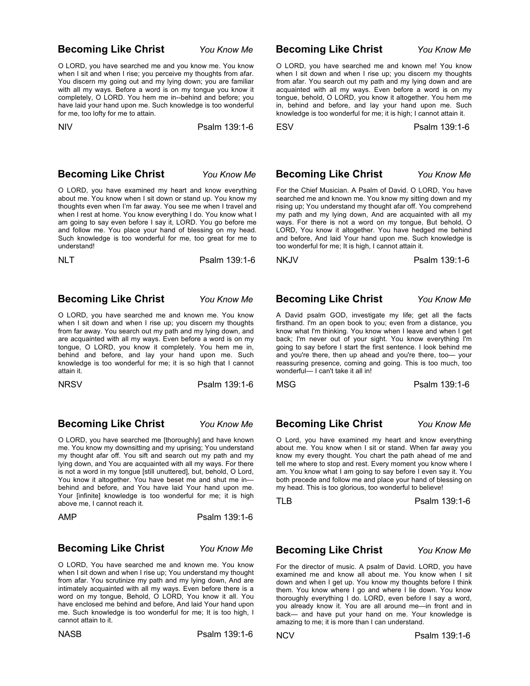### **Becoming Like Christ** *You Know Me*

O LORD, you have searched me and you know me. You know when I sit and when I rise; you perceive my thoughts from afar. You discern my going out and my lying down; you are familiar with all my ways. Before a word is on my tongue you know it completely, O LORD. You hem me in--behind and before; you have laid your hand upon me. Such knowledge is too wonderful for me, too lofty for me to attain.

NIV Psalm 139:1-6

 **Becoming Like Christ** *You Know Me* 

O LORD, you have examined my heart and know everything about me. You know when I sit down or stand up. You know my thoughts even when I'm far away. You see me when I travel and when I rest at home. You know everything I do. You know what I am going to say even before I say it, LORD. You go before me and follow me. You place your hand of blessing on my head. Such knowledge is too wonderful for me, too great for me to understand!

NLT Psalm 139:1-6

## **Becoming Like Christ** *You Know Me*

O LORD, you have searched me and known me. You know when I sit down and when I rise up; you discern my thoughts from far away. You search out my path and my lying down, and are acquainted with all my ways. Even before a word is on my tongue, O LORD, you know it completely. You hem me in, behind and before, and lay your hand upon me. Such knowledge is too wonderful for me; it is so high that I cannot

attain it. NRSV Psalm 139:1-6

 **Becoming Like Christ** *You Know Me* 

O LORD, you have searched me [thoroughly] and have known me. You know my downsitting and my uprising; You understand my thought afar off. You sift and search out my path and my lying down, and You are acquainted with all my ways. For there is not a word in my tongue [still unuttered], but, behold, O Lord, You know it altogether. You have beset me and shut me in behind and before, and You have laid Your hand upon me. Your [infinite] knowledge is too wonderful for me; it is high above me, I cannot reach it.

AMP Psalm 139:1-6

# **Becoming Like Christ** *You Know Me*

O LORD, You have searched me and known me. You know when I sit down and when I rise up; You understand my thought from afar. You scrutinize my path and my lying down, And are intimately acquainted with all my ways. Even before there is a word on my tongue, Behold, O LORD, You know it all. You have enclosed me behind and before, And laid Your hand upon me. Such knowledge is too wonderful for me; It is too high, I cannot attain to it.

NASB Psalm 139:1-6

## **Becoming Like Christ** *You Know Me*

O LORD, you have searched me and known me! You know when I sit down and when I rise up; you discern my thoughts from afar. You search out my path and my lying down and are acquainted with all my ways. Even before a word is on my tongue, behold, O LORD, you know it altogether. You hem me in, behind and before, and lay your hand upon me. Such knowledge is too wonderful for me; it is high; I cannot attain it.

ESV Psalm 139:1-6

 **Becoming Like Christ** *You Know Me* 

For the Chief Musician. A Psalm of David. O LORD, You have searched me and known me. You know my sitting down and my rising up; You understand my thought afar off. You comprehend my path and my lying down, And are acquainted with all my ways. For there is not a word on my tongue, But behold, O LORD, You know it altogether. You have hedged me behind and before, And laid Your hand upon me. Such knowledge is

# **Becoming Like Christ** *You Know Me*

A David psalm GOD, investigate my life; get all the facts firsthand. I'm an open book to you; even from a distance, you know what I'm thinking. You know when I leave and when I get back; I'm never out of your sight. You know everything I'm going to say before I start the first sentence. I look behind me and you're there, then up ahead and you're there, too— your reassuring presence, coming and going. This is too much, too wonderful— I can't take it all in!

MSG **Psalm 139:1-6** 

# **Becoming Like Christ** *You Know Me*

O Lord, you have examined my heart and know everything about me. You know when I sit or stand. When far away you know my every thought. You chart the path ahead of me and tell me where to stop and rest. Every moment you know where I am. You know what I am going to say before I even say it. You both precede and follow me and place your hand of blessing on my head. This is too glorious, too wonderful to believe!

TLB Psalm 139:1-6

# **Becoming Like Christ** *You Know Me*

For the director of music. A psalm of David. LORD, you have examined me and know all about me. You know when I sit down and when I get up. You know my thoughts before I think them. You know where I go and where I lie down. You know thoroughly everything I do. LORD, even before I say a word, you already know it. You are all around me—in front and in back— and have put your hand on me. Your knowledge is amazing to me; it is more than I can understand.

NCV Psalm 139:1-6

too wonderful for me; It is high, I cannot attain it. NKJV Psalm 139:1-6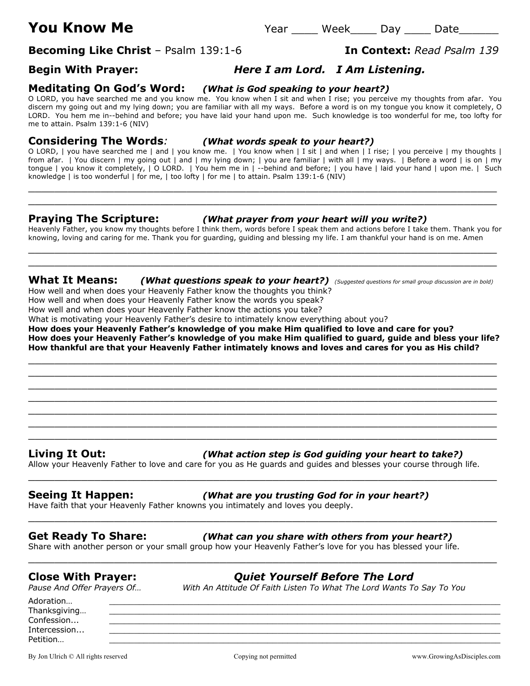# **You Know Me**  $\vee$  **Year** Week Day Date

**Becoming Like Christ** – Psalm 139:1-6 **In Context:** *Read Psalm 139*

# **Begin With Prayer:** *Here I am Lord. I Am Listening.*

# **Meditating On God's Word:** *(What is God speaking to your heart?)*

O LORD, you have searched me and you know me. You know when I sit and when I rise; you perceive my thoughts from afar. You discern my going out and my lying down; you are familiar with all my ways. Before a word is on my tongue you know it completely, O LORD. You hem me in--behind and before; you have laid your hand upon me. Such knowledge is too wonderful for me, too lofty for me to attain. Psalm 139:1-6 (NIV)

# **Considering The Words***: (What words speak to your heart?)*

O LORD, | you have searched me | and | you know me. | You know when | I sit | and when | I rise; | you perceive | my thoughts | from afar. | You discern | my going out | and | my lying down; | you are familiar | with all | my ways. | Before a word | is on | my tongue | you know it completely, | O LORD. | You hem me in | --behind and before; | you have | laid your hand | upon me. | Such knowledge | is too wonderful | for me, | too lofty | for me | to attain. Psalm 139:1-6 (NIV)

 $\_$  , and the contribution of the contribution of  $\mathcal{L}$  , and  $\mathcal{L}$  , and  $\mathcal{L}$  , and  $\mathcal{L}$  , and  $\mathcal{L}$  , and  $\mathcal{L}$  , and  $\mathcal{L}$  , and  $\mathcal{L}$  , and  $\mathcal{L}$  , and  $\mathcal{L}$  , and  $\mathcal{L}$  , and  $\mathcal{L$ \_\_\_\_\_\_\_\_\_\_\_\_\_\_\_\_\_\_\_\_\_\_\_\_\_\_\_\_\_\_\_\_\_\_\_\_\_\_\_\_\_\_\_\_\_\_\_\_\_\_\_\_\_\_\_\_\_\_\_\_\_\_\_\_\_\_\_\_\_\_\_

### **Praying The Scripture:** *(What prayer from your heart will you write?)*

Heavenly Father, you know my thoughts before I think them, words before I speak them and actions before I take them. Thank you for knowing, loving and caring for me. Thank you for guarding, guiding and blessing my life. I am thankful your hand is on me. Amen \_\_\_\_\_\_\_\_\_\_\_\_\_\_\_\_\_\_\_\_\_\_\_\_\_\_\_\_\_\_\_\_\_\_\_\_\_\_\_\_\_\_\_\_\_\_\_\_\_\_\_\_\_\_\_\_\_\_\_\_\_\_\_\_\_\_\_\_\_\_\_

### **What It Means:** *(What questions speak to your heart?) (Suggested questions for small group discussion are in bold)* How well and when does your Heavenly Father know the thoughts you think?

 $\_$  , and the set of the set of the set of the set of the set of the set of the set of the set of the set of the set of the set of the set of the set of the set of the set of the set of the set of the set of the set of th

How well and when does your Heavenly Father know the words you speak?

How well and when does your Heavenly Father know the actions you take?

What is motivating your Heavenly Father's desire to intimately know everything about you?

**How does your Heavenly Father's knowledge of you make Him qualified to love and care for you?**

**How does your Heavenly Father's knowledge of you make Him qualified to guard, guide and bless your life? How thankful are that your Heavenly Father intimately knows and loves and cares for you as His child?**

 $\_$  , and the contribution of the contribution of  $\mathcal{L}$  , and  $\mathcal{L}$  , and  $\mathcal{L}$  , and  $\mathcal{L}$  , and  $\mathcal{L}$  , and  $\mathcal{L}$  , and  $\mathcal{L}$  , and  $\mathcal{L}$  , and  $\mathcal{L}$  , and  $\mathcal{L}$  , and  $\mathcal{L}$  , and  $\mathcal{L$ \_\_\_\_\_\_\_\_\_\_\_\_\_\_\_\_\_\_\_\_\_\_\_\_\_\_\_\_\_\_\_\_\_\_\_\_\_\_\_\_\_\_\_\_\_\_\_\_\_\_\_\_\_\_\_\_\_\_\_\_\_\_\_\_\_\_\_\_\_\_\_  $\_$  . The contribution of the contribution of  $\mathcal{L}_1$  ,  $\mathcal{L}_2$  ,  $\mathcal{L}_3$  ,  $\mathcal{L}_4$  ,  $\mathcal{L}_5$  ,  $\mathcal{L}_6$  ,  $\mathcal{L}_7$  ,  $\mathcal{L}_8$  ,  $\mathcal{L}_9$  ,  $\mathcal{L}_1$  ,  $\mathcal{L}_2$  ,  $\mathcal{L}_3$  ,  $\mathcal{L}_5$  ,  $\mathcal{L}_6$  ,  $\mathcal{L}_$ \_\_\_\_\_\_\_\_\_\_\_\_\_\_\_\_\_\_\_\_\_\_\_\_\_\_\_\_\_\_\_\_\_\_\_\_\_\_\_\_\_\_\_\_\_\_\_\_\_\_\_\_\_\_\_\_\_\_\_\_\_\_\_\_\_\_\_\_\_\_\_ \_\_\_\_\_\_\_\_\_\_\_\_\_\_\_\_\_\_\_\_\_\_\_\_\_\_\_\_\_\_\_\_\_\_\_\_\_\_\_\_\_\_\_\_\_\_\_\_\_\_\_\_\_\_\_\_\_\_\_\_\_\_\_\_\_\_\_\_\_\_\_  $\_$  , and the contribution of the contribution of  $\mathcal{L}$  , and  $\mathcal{L}$  , and  $\mathcal{L}$  , and  $\mathcal{L}$  , and  $\mathcal{L}$  , and  $\mathcal{L}$  , and  $\mathcal{L}$  , and  $\mathcal{L}$  , and  $\mathcal{L}$  , and  $\mathcal{L}$  , and  $\mathcal{L}$  , and  $\mathcal{L$ \_\_\_\_\_\_\_\_\_\_\_\_\_\_\_\_\_\_\_\_\_\_\_\_\_\_\_\_\_\_\_\_\_\_\_\_\_\_\_\_\_\_\_\_\_\_\_\_\_\_\_\_\_\_\_\_\_\_\_\_\_\_\_\_\_\_\_\_\_\_\_

# **Living It Out:** *(What action step is God guiding your heart to take?)*

Allow your Heavenly Father to love and care for you as He guards and guides and blesses your course through life.

\_\_\_\_\_\_\_\_\_\_\_\_\_\_\_\_\_\_\_\_\_\_\_\_\_\_\_\_\_\_\_\_\_\_\_\_\_\_\_\_\_\_\_\_\_\_\_\_\_\_\_\_\_\_\_\_\_\_\_\_\_\_\_\_\_\_\_\_\_\_\_

\_\_\_\_\_\_\_\_\_\_\_\_\_\_\_\_\_\_\_\_\_\_\_\_\_\_\_\_\_\_\_\_\_\_\_\_\_\_\_\_\_\_\_\_\_\_\_\_\_\_\_\_\_\_\_\_\_\_\_\_\_\_\_\_\_\_\_\_\_\_\_

 $\_$  , and the set of the set of the set of the set of the set of the set of the set of the set of the set of the set of the set of the set of the set of the set of the set of the set of the set of the set of the set of th

# **Seeing It Happen:** *(What are you trusting God for in your heart?)*

Have faith that your Heavenly Father knowns you intimately and loves you deeply.

# **Get Ready To Share:** *(What can you share with others from your heart?)*

Share with another person or your small group how your Heavenly Father's love for you has blessed your life.

# **Close With Prayer:** *Quiet Yourself Before The Lord*

*Pause And Offer Prayers Of… With An Attitude Of Faith Listen To What The Lord Wants To Say To You*

Adoration… \_\_\_\_\_\_\_\_\_\_\_\_\_\_\_\_\_\_\_\_\_\_\_\_\_\_\_\_\_\_\_\_\_\_\_\_\_\_\_\_\_\_\_\_\_\_\_\_\_\_\_\_\_\_\_\_\_\_\_\_\_\_\_\_\_\_\_\_\_\_\_\_\_\_\_\_\_\_\_ Thanksgiving... Intercession...